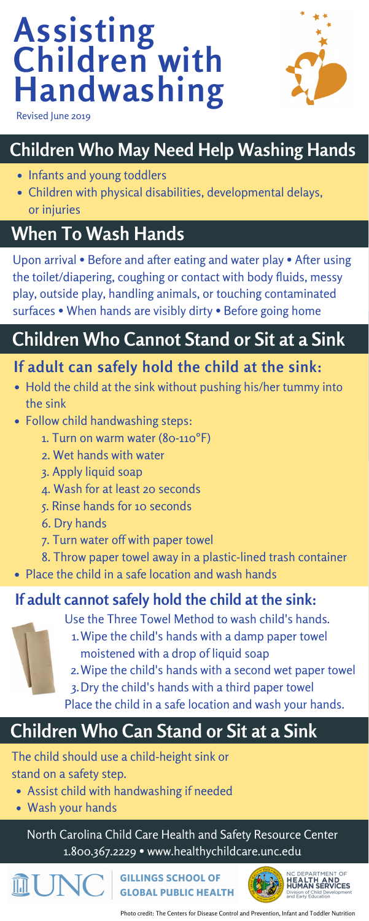# **Children Who May Need Help Washing Hands**

- Infants and young toddlers
- Children with physical disabilities, developmental delays, or injuries

### **If adult can safely hold the child at the sink:**

- Hold the child at the sink without pushing his/her tummy into the sink
- Follow child handwashing steps:
	- 1. Turn on warm water (80-110°F)
	- 2. Wet hands with water
	- 3. Apply liquid soap
	- 4. Wash for at least 20 seconds
	- 5. Rinse hands for 10 seconds
	- 6. Dry hands
	- 7. Turn water off with paper towel
	-

8. Throw paper towel away in a plastic-lined trash container Place the child in a safe location and wash hands

# **Children Who Cannot Stand or Sit at a Sink**

Upon arrival • Before and after eating and water play • After using the toilet/diapering, coughing or contact with body fluids, messy play, outside play, handling animals, or touching contaminated surfaces • When hands are visibly dirty • Before going home

> Use the Three Towel Method to wash child's hands. Wipe the child's hands with a damp paper towel 1. moistened with a drop of liquid soap Wipe the child's hands with a second wet paper towel 2.

Dry the child's hands with a third paper towel 3.

Place the child in a safe location and wash your hands.

#### **If adult cannot safely hold the child at the sink:**



The child should use a child-height sink or stand on a safety step.

- Assist child with handwashing if needed
- Wash your hands

## **Children Who Can Stand or Sit at a Sink**

# **Assisting Children with Handwashing**



[North Carolina Child Care Health and Safety Resource Center](https://healthychildcare.unc.edu/) 1.800.367.2229 • www.healthychildcare.unc.edu

**GILLINGS SCHOOL OF INC GLOBAL PUBLIC HEALTH** 



Revised June 2019

Photo credit: The Centers for Disease Control and Prevention, Infant and Toddler Nutrition

## **When To Wash Hands**